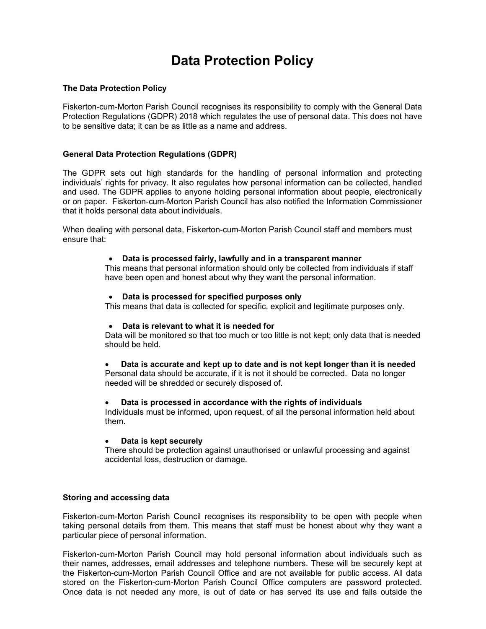# Data Protection Policy

## The Data Protection Policy

Fiskerton-cum-Morton Parish Council recognises its responsibility to comply with the General Data Protection Regulations (GDPR) 2018 which regulates the use of personal data. This does not have to be sensitive data; it can be as little as a name and address.

## General Data Protection Regulations (GDPR)

The GDPR sets out high standards for the handling of personal information and protecting individuals' rights for privacy. It also regulates how personal information can be collected, handled and used. The GDPR applies to anyone holding personal information about people, electronically or on paper. Fiskerton-cum-Morton Parish Council has also notified the Information Commissioner that it holds personal data about individuals.

When dealing with personal data, Fiskerton-cum-Morton Parish Council staff and members must ensure that:

#### Data is processed fairly, lawfully and in a transparent manner

This means that personal information should only be collected from individuals if staff have been open and honest about why they want the personal information.

## Data is processed for specified purposes only

This means that data is collected for specific, explicit and legitimate purposes only.

#### Data is relevant to what it is needed for

Data will be monitored so that too much or too little is not kept; only data that is needed should be held.

Data is accurate and kept up to date and is not kept longer than it is needed

Personal data should be accurate, if it is not it should be corrected. Data no longer needed will be shredded or securely disposed of.

#### Data is processed in accordance with the rights of individuals

Individuals must be informed, upon request, of all the personal information held about them.

#### Data is kept securely

There should be protection against unauthorised or unlawful processing and against accidental loss, destruction or damage.

#### Storing and accessing data

Fiskerton-cum-Morton Parish Council recognises its responsibility to be open with people when taking personal details from them. This means that staff must be honest about why they want a particular piece of personal information.

Fiskerton-cum-Morton Parish Council may hold personal information about individuals such as their names, addresses, email addresses and telephone numbers. These will be securely kept at the Fiskerton-cum-Morton Parish Council Office and are not available for public access. All data stored on the Fiskerton-cum-Morton Parish Council Office computers are password protected. Once data is not needed any more, is out of date or has served its use and falls outside the